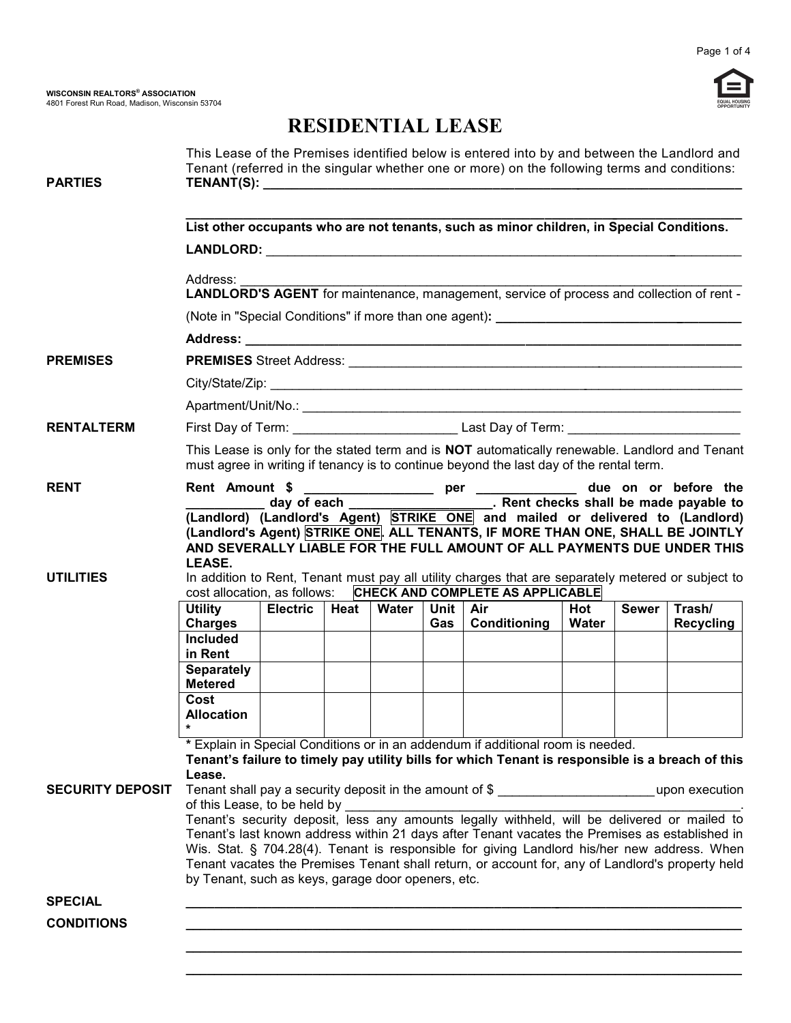

## **RESIDENTIAL LEASE**

| <b>PARTIES</b>                                                                                                                                                                                                                                                                                                                                                                                                                                          |                                                                                                                   |                 |      |       |     | This Lease of the Premises identified below is entered into by and between the Landlord and<br>Tenant (referred in the singular whether one or more) on the following terms and conditions:                                                    |       |              |                  |
|---------------------------------------------------------------------------------------------------------------------------------------------------------------------------------------------------------------------------------------------------------------------------------------------------------------------------------------------------------------------------------------------------------------------------------------------------------|-------------------------------------------------------------------------------------------------------------------|-----------------|------|-------|-----|------------------------------------------------------------------------------------------------------------------------------------------------------------------------------------------------------------------------------------------------|-------|--------------|------------------|
|                                                                                                                                                                                                                                                                                                                                                                                                                                                         | List other occupants who are not tenants, such as minor children, in Special Conditions.                          |                 |      |       |     |                                                                                                                                                                                                                                                |       |              |                  |
|                                                                                                                                                                                                                                                                                                                                                                                                                                                         | Address:<br>Address.<br>LANDLORD'S AGENT for maintenance, management, service of process and collection of rent - |                 |      |       |     |                                                                                                                                                                                                                                                |       |              |                  |
|                                                                                                                                                                                                                                                                                                                                                                                                                                                         |                                                                                                                   |                 |      |       |     |                                                                                                                                                                                                                                                |       |              |                  |
|                                                                                                                                                                                                                                                                                                                                                                                                                                                         |                                                                                                                   |                 |      |       |     |                                                                                                                                                                                                                                                |       |              |                  |
| <b>PREMISES</b>                                                                                                                                                                                                                                                                                                                                                                                                                                         |                                                                                                                   |                 |      |       |     |                                                                                                                                                                                                                                                |       |              |                  |
|                                                                                                                                                                                                                                                                                                                                                                                                                                                         |                                                                                                                   |                 |      |       |     |                                                                                                                                                                                                                                                |       |              |                  |
|                                                                                                                                                                                                                                                                                                                                                                                                                                                         |                                                                                                                   |                 |      |       |     |                                                                                                                                                                                                                                                |       |              |                  |
| <b>RENTALTERM</b>                                                                                                                                                                                                                                                                                                                                                                                                                                       |                                                                                                                   |                 |      |       |     |                                                                                                                                                                                                                                                |       |              |                  |
|                                                                                                                                                                                                                                                                                                                                                                                                                                                         |                                                                                                                   |                 |      |       |     | This Lease is only for the stated term and is NOT automatically renewable. Landlord and Tenant<br>must agree in writing if tenancy is to continue beyond the last day of the rental term.                                                      |       |              |                  |
| <b>RENT</b>                                                                                                                                                                                                                                                                                                                                                                                                                                             | LEASE.                                                                                                            |                 |      |       |     | Rent Amount \$ ____________________ per _____________ due on or before the<br>(Landlord's Agent) STRIKE ONE. ALL TENANTS, IF MORE THAN ONE, SHALL BE JOINTLY<br>AND SEVERALLY LIABLE FOR THE FULL AMOUNT OF ALL PAYMENTS DUE UNDER THIS        |       |              |                  |
| <b>UTILITIES</b>                                                                                                                                                                                                                                                                                                                                                                                                                                        |                                                                                                                   |                 |      |       |     | In addition to Rent, Tenant must pay all utility charges that are separately metered or subject to<br>cost allocation, as follows: CHECK AND COMPLETE AS APPLICABLE                                                                            |       |              |                  |
|                                                                                                                                                                                                                                                                                                                                                                                                                                                         | <b>Utility</b>                                                                                                    | <b>Electric</b> | Heat | Water |     | Unit   Air                                                                                                                                                                                                                                     | Hot   | <b>Sewer</b> | Trash/           |
|                                                                                                                                                                                                                                                                                                                                                                                                                                                         | <b>Charges</b><br><b>Included</b><br>in Rent                                                                      |                 |      |       | Gas | Conditioning                                                                                                                                                                                                                                   | Water |              | <b>Recycling</b> |
|                                                                                                                                                                                                                                                                                                                                                                                                                                                         | <b>Separately</b><br><b>Metered</b>                                                                               |                 |      |       |     |                                                                                                                                                                                                                                                |       |              |                  |
|                                                                                                                                                                                                                                                                                                                                                                                                                                                         | Cost<br><b>Allocation</b><br>*                                                                                    |                 |      |       |     |                                                                                                                                                                                                                                                |       |              |                  |
| <b>SECURITY DEPOSIT</b>                                                                                                                                                                                                                                                                                                                                                                                                                                 | Lease.<br>of this Lease, to be held by                                                                            |                 |      |       |     | * Explain in Special Conditions or in an addendum if additional room is needed.<br>Tenant's failure to timely pay utility bills for which Tenant is responsible is a breach of this<br>Tenant shall pay a security deposit in the amount of \$ |       |              | upon execution   |
| Tenant's security deposit, less any amounts legally withheld, will be delivered or mailed to<br>Tenant's last known address within 21 days after Tenant vacates the Premises as established in<br>Wis. Stat. § 704.28(4). Tenant is responsible for giving Landlord his/her new address. When<br>Tenant vacates the Premises Tenant shall return, or account for, any of Landlord's property held<br>by Tenant, such as keys, garage door openers, etc. |                                                                                                                   |                 |      |       |     |                                                                                                                                                                                                                                                |       |              |                  |
| <b>SPECIAL</b>                                                                                                                                                                                                                                                                                                                                                                                                                                          |                                                                                                                   |                 |      |       |     |                                                                                                                                                                                                                                                |       |              |                  |
| <b>CONDITIONS</b>                                                                                                                                                                                                                                                                                                                                                                                                                                       |                                                                                                                   |                 |      |       |     |                                                                                                                                                                                                                                                |       |              |                  |
|                                                                                                                                                                                                                                                                                                                                                                                                                                                         |                                                                                                                   |                 |      |       |     |                                                                                                                                                                                                                                                |       |              |                  |

**\_\_\_\_\_\_\_\_\_\_\_\_\_\_\_\_\_\_\_\_\_\_\_\_\_\_\_\_\_\_\_\_\_\_\_\_\_\_\_\_\_\_\_\_\_\_\_\_\_\_\_\_\_\_\_\_\_\_\_\_\_\_\_\_\_\_\_\_\_\_\_\_\_\_\_\_\_\_\_**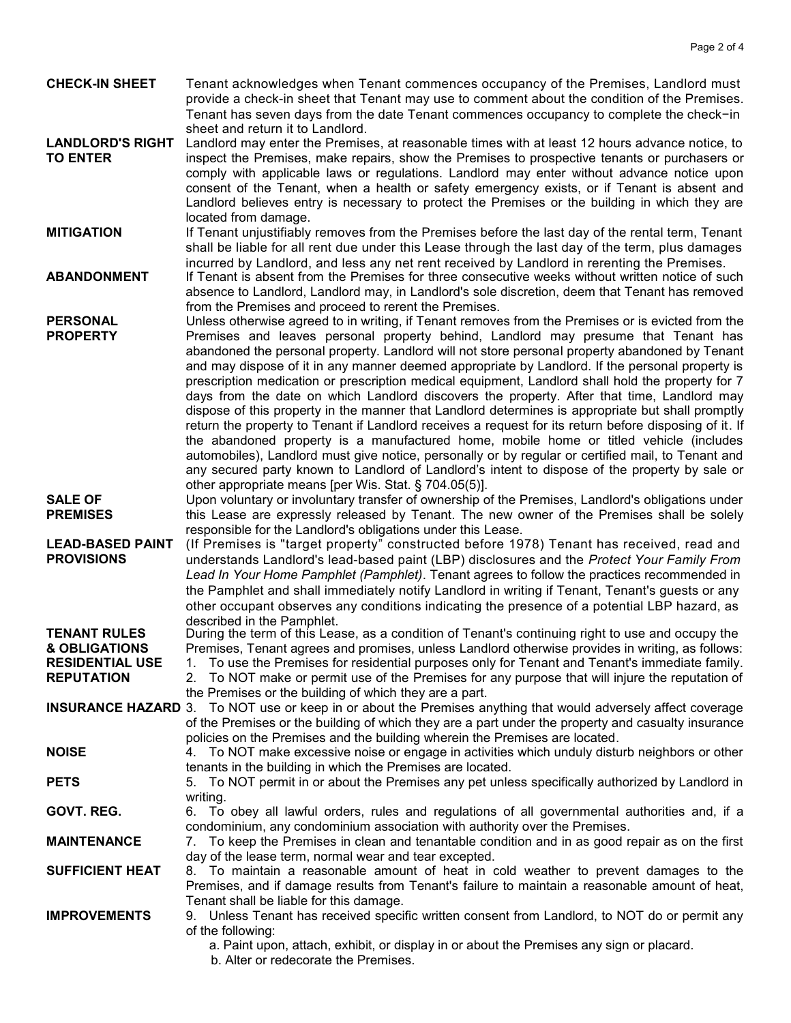- **CHECK-IN SHEET** Tenant acknowledges when Tenant commences occupancy of the Premises, Landlord must provide a check-in sheet that Tenant may use to comment about the condition of the Premises. Tenant has seven days from the date Tenant commences occupancy to complete the check-in sheet and return it to Landlord.
- **LANDLORD'S RIGHT** Landlord may enter the Premises, at reasonable times with at least 12 hours advance notice, to **TO ENTER** inspect the Premises, make repairs, show the Premises to prospective tenants or purchasers or comply with applicable laws or regulations. Landlord may enter without advance notice upon consent of the Tenant, when a health or safety emergency exists, or if Tenant is absent and Landlord believes entry is necessary to protect the Premises or the building in which they are located from damage.
- **MITIGATION** If Tenant unjustifiably removes from the Premises before the last day of the rental term, Tenant shall be liable for all rent due under this Lease through the last day of the term, plus damages incurred by Landlord, and less any net rent received by Landlord in rerenting the Premises.
- **ABANDONMENT** If Tenant is absent from the Premises for three consecutive weeks without written notice of such absence to Landlord, Landlord may, in Landlord's sole discretion, deem that Tenant has removed from the Premises and proceed to rerent the Premises.
- **PERSONAL** Unless otherwise agreed to in writing, if Tenant removes from the Premises or is evicted from the **PROPERTY** Premises and leaves personal property behind, Landlord may presume that Tenant has Premises and leaves personal property behind, Landlord may presume that Tenant has abandoned the personal property. Landlord will not store personal property abandoned by Tenant and may dispose of it in any manner deemed appropriate by Landlord. If the personal property is prescription medication or prescription medical equipment, Landlord shall hold the property for 7 days from the date on which Landlord discovers the property. After that time, Landlord may dispose of this property in the manner that Landlord determines is appropriate but shall promptly return the property to Tenant if Landlord receives a request for its return before disposing of it. If the abandoned property is a manufactured home, mobile home or titled vehicle (includes automobiles), Landlord must give notice, personally or by regular or certified mail, to Tenant and any secured party known to Landlord of Landlord's intent to dispose of the property by sale or other appropriate means [per Wis. Stat. § 704.05(5)].
- **SALE OF** Upon voluntary or involuntary transfer of ownership of the Premises, Landlord's obligations under **PREMISES** this Lease are expressly released by Tenant. The new owner of the Premises shall be solely responsible for the Landlord's obligations under this Lease.
- **LEAD-BASED PAINT** (If Premises is "target property" constructed before 1978) Tenant has received, read and understands Landlord's lead-based paint (LBP) disclosures and the *Protect Your Family From Lead In Your Home Pamphlet (Pamphlet)*. Tenant agrees to follow the practices recommended in the Pamphlet and shall immediately notify Landlord in writing if Tenant, Tenant's guests or any other occupant observes any conditions indicating the presence of a potential LBP hazard, as described in the Pamphlet. **PROVISIONS**

**TENANT RULES** During the term of this Lease, as a condition of Tenant's continuing right to use and occupy the **& OBLIGATIONS** Premises, Tenant agrees and promises, unless Landlord otherwise provides in writing, as follows:

- **RESIDENTIAL USE** 1. To use the Premises for residential purposes only for Tenant and Tenant's immediate family. **REPUTATION** 2. To NOT make or permit use of the Premises for any purpose that will injure the reputation of
- the Premises or the building of which they are a part.
- **INSURANCE HAZARD** 3. To NOT use or keep in or about the Premises anything that would adversely affect coverage of the Premises or the building of which they are a part under the property and casualty insurance policies on the Premises and the building wherein the Premises are located.
- **NOISE** 4. To NOT make excessive noise or engage in activities which unduly disturb neighbors or other tenants in the building in which the Premises are located.
- **PETS** 5. To NOT permit in or about the Premises any pet unless specifically authorized by Landlord in writing.
- **GOVT. REG.** 6. To obey all lawful orders, rules and regulations of all governmental authorities and, if a condominium, any condominium association with authority over the Premises.
- **MAINTENANCE** 7. To keep the Premises in clean and tenantable condition and in as good repair as on the first day of the lease term, normal wear and tear excepted.
- **SUFFICIENT HEAT** 8. To maintain a reasonable amount of heat in cold weather to prevent damages to the Premises, and if damage results from Tenant's failure to maintain a reasonable amount of heat, Tenant shall be liable for this damage.
- **IMPROVEMENTS** 9. Unless Tenant has received specific written consent from Landlord, to NOT do or permit any of the following:
	- a. Paint upon, attach, exhibit, or display in or about the Premises any sign or placard.
	- b. Alter or redecorate the Premises.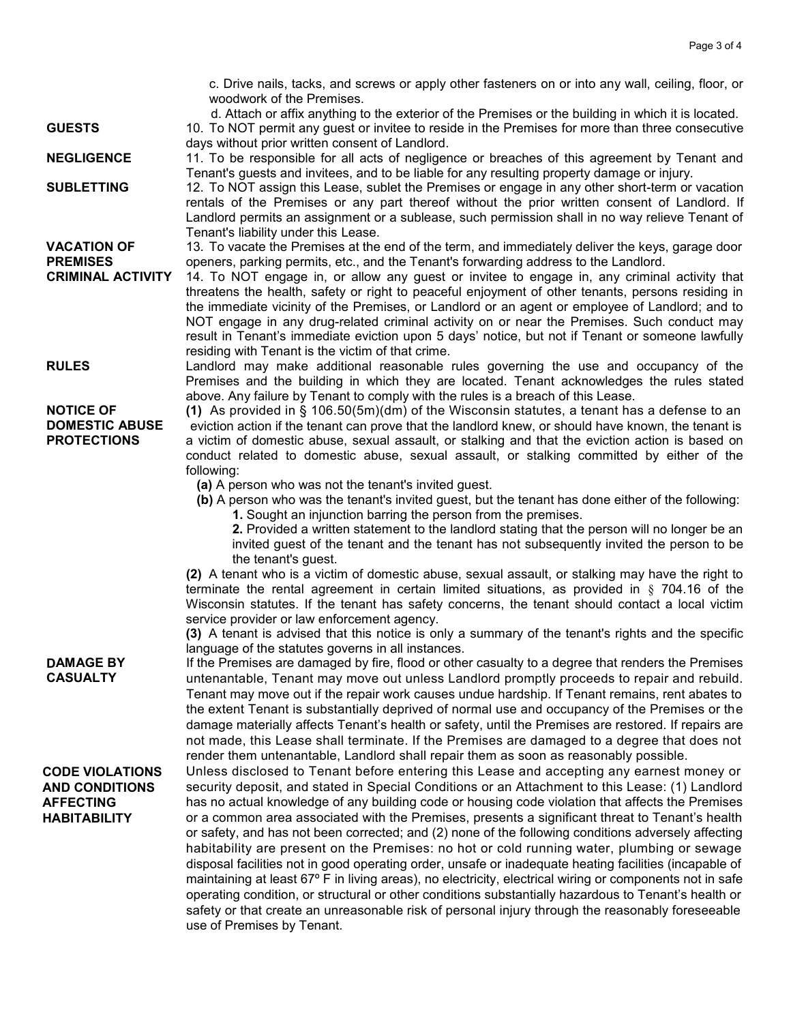c. Drive nails, tacks, and screws or apply other fasteners on or into any wall, ceiling, floor, or woodwork of the Premises.

d. Attach or affix anything to the exterior of the Premises or the building in which it is located.

**GUESTS** 10. To NOT permit any guest or invitee to reside in the Premises for more than three consecutive days without prior written consent of Landlord.

**NEGLIGENCE** 11. To be responsible for all acts of negligence or breaches of this agreement by Tenant and Tenant's guests and invitees, and to be liable for any resulting property damage or injury.

**SUBLETTING** 12. To NOT assign this Lease, sublet the Premises or engage in any other short-term or vacation rentals of the Premises or any part thereof without the prior written consent of Landlord. If Landlord permits an assignment or a sublease, such permission shall in no way relieve Tenant of Tenant's liability under this Lease.

**VACATION OF** 13. To vacate the Premises at the end of the term, and immediately deliver the keys, garage door **PREMISES** openers, parking permits, etc., and the Tenant's forwarding address to the Landlord.<br>**CRIMINAL ACTIVITY** 14. To NOT engage in, or allow any quest or invitee to engage in, any crimina

- 14. To NOT engage in, or allow any guest or invitee to engage in, any criminal activity that threatens the health, safety or right to peaceful enjoyment of other tenants, persons residing in the immediate vicinity of the Premises, or Landlord or an agent or employee of Landlord; and to NOT engage in any drug-related criminal activity on or near the Premises. Such conduct may result in Tenant's immediate eviction upon 5 days' notice, but not if Tenant or someone lawfully residing with Tenant is the victim of that crime.
- **RULES** Landlord may make additional reasonable rules governing the use and occupancy of the Premises and the building in which they are located. Tenant acknowledges the rules stated above. Any failure by Tenant to comply with the rules is a breach of this Lease.

**NOTICE OF (1)** As provided in § 106.50(5m)(dm) of the Wisconsin statutes, a tenant has a defense to an **DOMESTIC ABUSE** eviction action if the tenant can prove that the landlord knew, or should have known, the tenant is **PROTECTIONS** a victim of domestic abuse, sexual assault, or stalking and that the eviction action is based on conduct related to domestic abuse, sexual assault, or stalking committed by either of the following:

**(a)** A person who was not the tenant's invited guest.

**(b)** A person who was the tenant's invited guest, but the tenant has done either of the following: **1.** Sought an injunction barring the person from the premises.

**2.** Provided a written statement to the landlord stating that the person will no longer be an invited guest of the tenant and the tenant has not subsequently invited the person to be the tenant's guest.

**(2)** A tenant who is a victim of domestic abuse, sexual assault, or stalking may have the right to terminate the rental agreement in certain limited situations, as provided in § 704.16 of the Wisconsin statutes. If the tenant has safety concerns, the tenant should contact a local victim service provider or law enforcement agency.

**(3)** A tenant is advised that this notice is only a summary of the tenant's rights and the specific language of the statutes governs in all instances.

DAMAGE BY **CASUALTY** If the Premises are damaged by fire, flood or other casualty to a degree that renders the Premises untenantable, Tenant may move out unless Landlord promptly proceeds to repair and rebuild. Tenant may move out if the repair work causes undue hardship. If Tenant remains, rent abates to the extent Tenant is substantially deprived of normal use and occupancy of the Premises or the damage materially affects Tenant's health or safety, until the Premises are restored. If repairs are not made, this Lease shall terminate. If the Premises are damaged to a degree that does not render them untenantable, Landlord shall repair them as soon as reasonably possible.

**CODE VIOLATIONS AND CONDITIONS AFFECTING HABITABILITY**

Unless disclosed to Tenant before entering this Lease and accepting any earnest money or security deposit, and stated in Special Conditions or an Attachment to this Lease: (1) Landlord has no actual knowledge of any building code or housing code violation that affects the Premises or a common area associated with the Premises, presents a significant threat to Tenant's health or safety, and has not been corrected; and (2) none of the following conditions adversely affecting habitability are present on the Premises: no hot or cold running water, plumbing or sewage disposal facilities not in good operating order, unsafe or inadequate heating facilities (incapable of maintaining at least 67º F in living areas), no electricity, electrical wiring or components not in safe operating condition, or structural or other conditions substantially hazardous to Tenant's health or safety or that create an unreasonable risk of personal injury through the reasonably foreseeable use of Premises by Tenant.